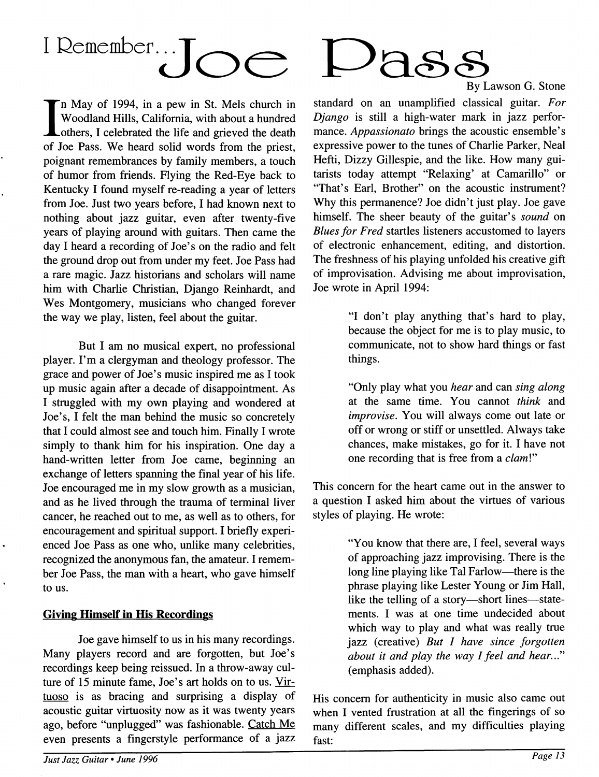# I Remember... Inc

In May of 1994, in a pew in St. Mels church in<br>Woodland Hills, California, with about a hundred<br>others I calebrated the life and grieved the death Lothers, I celebrated the life and grieved the death of Joe Pass. We heard solid words from the priest, poignant remembrances by family members, a touch of humor from friends. Flying the Red-Eye back to Kentucky I found myself re-reading a year of letters from Joe. Just two years before, I had known next to nothing about jazz guitar, even after twenty-five years of playing around with guitars. Then came the day I heard a recording of Joe's on the radio and felt the ground drop out from under my feet. Joe Pass had a rare magic. Jazz historians and scholars will name him with Charlie Christian, Django Reinhardt, and Wes Montgomery, musicians who changed forever the way we play, listen, feel about the guitar.

But I am no musical expert, no professional player. I'm a clergyman and theology professor. The grace and power of Joe's music inspired me as I took up music again after a decade of disappointment. As I struggled with my own playing and wondered at Joe's, I felt the man behind the music so concretely that I could almost see and touch him. Finally I wrote simply to thank him for his inspiration. One day a hand-written letter from Joe came, beginning an exchange of letters spanning the final year of his life. Joe encouraged me in my slow growth as a musician, and as he lived through the trauma of terminal liver cancer, he reached out to me, as well as to others, for encouragement and spiritual support. I briefly experienced Joe Pass as one who, unlike many celebrities, recognized the anonymous fan, the amateur. I remember Joe Pass, the man with a heart, who gave himself to us.

#### Giving Himself in His Recordings

Joe gave himself to us in his many recordings. Many players record and are forgotten, but Joe's recordings keep being reissued. In a throw-away culture of 15 minute fame, Joe's art holds on to us. Virtuoso is as bracing and surprising a display of acoustic guitar virtuosity now as it was twenty years ago, before "unplugged" was fashionable. Catch Me even presents a fingerstyle performance of a jazz



*Just Jazz Guitar• June 1996* 



By Lawson G. Stone

standard on an unamplified classical guitar. *For Django* is still a high-water mark in jazz performance. *Appassionato* brings the acoustic ensemble's expressive power to the tunes of Charlie Parker, Neal Hefti, Dizzy Gillespie, and the like. How many guitarists today attempt "Relaxing' at Camarillo" or "That's Earl, Brother" on the acoustic instrument? Why this permanence? Joe didn't just play. Joe gave himself. The sheer beauty of the guitar's *sound* on *Blues for Fred* startles listeners accustomed to layers of electronic enhancement, editing, and distortion. The freshness of his playing unfolded his creative gift of improvisation. Advising me about improvisation, Joe wrote in April 1994:

> "I don't play anything that's hard to play, because the object for me is to play music, to communicate, not to show hard things or fast things.

> "Only play what you *hear* and can *sing along*  at the same time. You cannot *think* and *improvise.* You will always come out late or off or wrong or stiff or unsettled. Always take chances, make mistakes, go for it. I have not one recording that is free from a *clam!"*

This concern for the heart came out in the answer to a question I asked him about the virtues of various styles of playing. He wrote:

> "You know that there are, I feel, several ways of approaching jazz improvising. There is the long line playing like Tal Farlow-there is the phrase playing like Lester Young or Jim Hall, like the telling of a story-short lines-statements. I was at one time undecided about which way to play and what was really true jazz (creative) *But I have since forgotten about it and play the way I feel and hear ... "*  (emphasis added).

His concern for authenticity in music also came out when I vented frustration at all the fingerings of so many different scales, and my difficulties playing fast: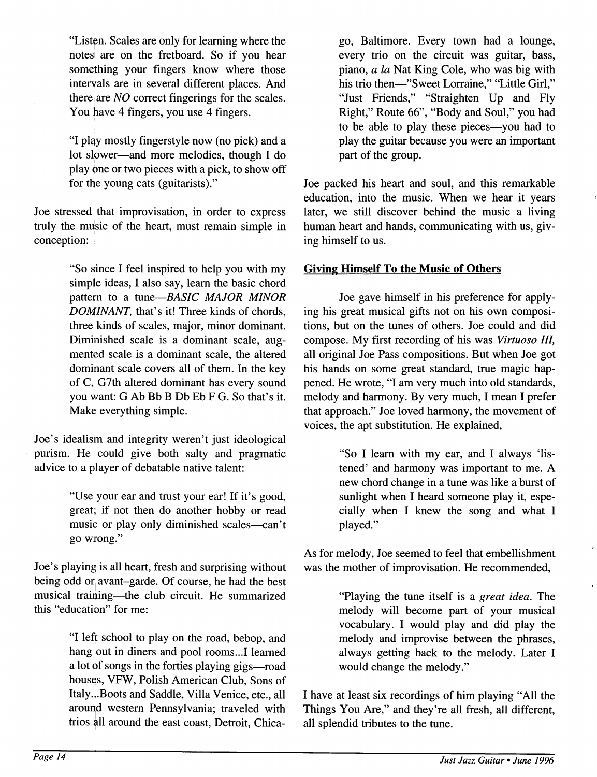"Listen. Scales are only for learning where the notesi are on the fretboard. So if you hear something your fingers know where those interyals are in several different places. And there are *NO* correct fingerings for the scales. You have 4 fingers, you use  $\frac{3}{4}$  fingers.

"I play mostly fingerstyle now (no pick) and a lot slower-and more melodies, though I do play one or two pieces with a pick, to show off for the young cats (guitarists)."

Joe stressed that improvisation, in order to express truly the music of the heart, must remain simple in conception:

> "So since I feel inspired to help you with my simple ideas, I also say, learn the basic chord pattern to a *tune-BASIC MAJOR MINOR DOMINANT,* that's it! Three kinds of chords, three kinds of scales, major, minor dominant. Diminished scale is a dominant scale, augmented scale is a dominant scale, the altered dominant scale covers all of them. In the key of C, G7th altered dominant has every sound you want: G Ab Bb B Db Eb F G. So that's it. Make everything simple.

Joe's idealism and integrity weren't just ideological purism. He could give both salty and pragmatic advice to a player of debatable native talent:

> "Use your ear and trust your ear! If it's good, great; if not then do another hobby or read music or play only diminished scales-can't go wrong."

Joe's playing is all heart, fresh and surprising without being odd or avant-garde. Of course, he had the best musical training-the club circuit. He summarized this "education" for me:

> "I left school to play on the road, bebop, and hang out in diners and pool rooms...I learned a lot of songs in the forties playing gigs-road houses, VFW, Polish American Club, Sons of Italy ... Boots and Saddle, Villa Venice, etc., all around western Pennsylvania; traveled with trios all around the east coast, Detroit, Chica-

go, Baltimore. Every town had a lounge, every trio on the circuit was guitar, bass, piano, *a la* Nat King Cole, who was big with his trio then-"Sweet Lorraine," "Little Girl," "Just Friends," "Straighten Up and Fly Right," Route 66", "Body and Soul," you had to be able to play these pieces—you had to play the guitar because you were an important part of the group.

Joe packed his heart and soul, and this remarkable education, into the music. When we hear it years later, we still discover behind the music a living human heart and hands, communicating with us, giving himself to us.

#### **Giving Himself To the Music of Others**

Joe gave himself in his preference for applying his great musical gifts not on his own compositions, but on the tunes of others. Joe could and did compose. My first recording of his was *Virtuoso III,*  all original Joe Pass compositions. But when Joe got his hands on some great standard, true magic happened. He wrote, "I am very much into old standards, melody and harmony. By very much, I mean I prefer that approach." Joe loved harmony, the movement of voices, the apt substitution. He explained,

> "So I learn with my ear, and I always 'listened' and harmony was important to me. A new chord change in a tune was like a burst of sunlight when I heard someone play it, especially when I knew the song and what I played."

As for melody, Joe seemed to feel that embellishment was the mother of improvisation. He recommended,

> "Playing the tune itself is a *great idea.* The melody will become part of your musical vocabulary. I would play and did play the melody and improvise between the phrases, always getting back to the melody. Later I would change the melody."

I have at least six recordings of him playing "All the Things You Are," and they're all fresh, all different, all splendid tributes to the tune.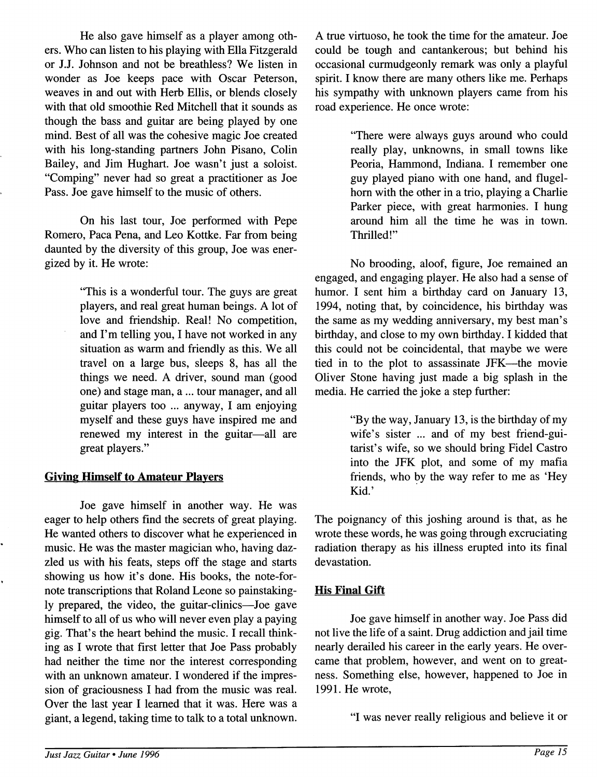He also gave himself as a player among others. Who can listen to his playing with Ella Fitzgerald or J.J. Johnson and not be breathless? We listen in wonder as Joe keeps pace with Oscar Peterson, weaves in and out with Herb Ellis, or blends closely with that old smoothie Red Mitchell that it sounds as though the bass and guitar are being played by one mind. Best of all was the cohesive magic Joe created with his long-standing partners John Pisano, Colin Bailey, and Jim Hughart. Joe wasn't just a soloist. "Comping" never had so great a practitioner as Joe Pass. Joe gave himself to the music of others.

On his last tour, Joe performed with Pepe Romero, Paca Pena, and Leo Kottke. Far from being daunted by the diversity of this group, Joe was energized by it. He wrote:

> "This is a wonderful tour. The guys are great players, and real great human beings. A lot of love and friendship. Real! No competition, and I'm telling you, I have not worked in any situation as warm and friendly as this. We all travel on a large bus, sleeps 8, has all the things we need. A driver, sound man (good one) and stage man, a ... tour manager, and all guitar players too ... anyway, I am enjoying myself and these guys have inspired me and renewed my interest in the guitar-all are great players."

#### **Giving Himself to Amateur Players**

Joe gave himself in another way. He was eager to help others find the secrets of great playing. He wanted others to discover what he experienced in music. He was the master magician who, having dazzled us with his feats, steps off the stage and starts showing us how it's done. His books, the note-fornote transcriptions that Roland Leone so painstakingly prepared, the video, the guitar-clinics—Joe gave himself to all of us who will never even play a paying gig. That's the heart behind the music. I recall thinking as I wrote that first letter that Joe Pass probably had neither the time nor the interest corresponding with an unknown amateur. I wondered if the impression of graciousness I had from the music was real. Over the last year I learned that it was. Here was a giant, a legend, taking time to talk to a total unknown.

A true virtuoso, he took the time for the amateur. Joe could be tough and cantankerous; but behind his occasional curmudgeonly remark was only a playful spirit. I know there are many others like me. Perhaps his sympathy with unknown players came from his road experience. He once wrote:

> "There were always guys around who could really play, unknowns, in small towns like Peoria, Hammond, Indiana. I remember one guy played piano with one hand, and flugelhom with the other in a trio, playing a Charlie Parker piece, with great harmonies. I hung around him all the time he was in town. Thrilled!"

No brooding, aloof, figure, Joe remained an engaged, and engaging player. He also had a sense of humor. I sent him a birthday card on January 13, 1994, noting that, by coincidence, his birthday was the same as my wedding anniversary, my best man's birthday, and close to my own birthday. I kidded that this could not be coincidental, that maybe we were tied in to the plot to assassinate JFK-the movie Oliver Stone having just made a big splash in the media. He carried the joke a step further:

> "By the way, January 13, is the birthday of my wife's sister ... and of my best friend-guitarist's wife, so we should bring Fidel Castro into the JFK plot, and some of my mafia friends, who by the way refer to me as 'Hey Kid.'

The poignancy of this joshing around is that, as he wrote these words, he was going through excruciating radiation therapy as his illness erupted into its final devastation.

#### **His Final Gift**

Joe gave himself in another way. Joe Pass did not live the life of a saint. Drug addiction and jail time nearly derailed his career in the early years. He overcame that problem, however, and went on to greatness. Something else, however, happened to Joe in 1991. He wrote,

"I was never really religious and believe it or